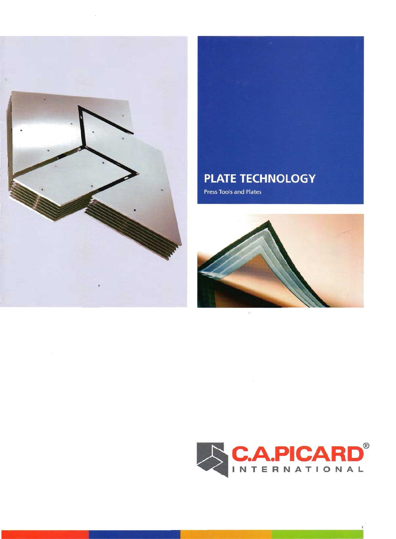

#### **PLATE TECHNOLOGY**

Press Tools and Plates



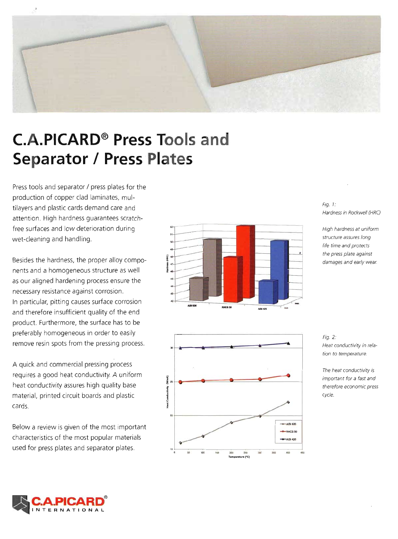

### **C.A.PICARD<sup>®</sup> Press Tools and Separator / Press Plates**

Press tools and separator / press plates for the production of copper clad laminates, multilayers and plastic cards demand care and attention. High hardness guarantees scratchfree surfaces and low deterioration during wet-cleaning and handling.

Besides the hardness, the proper alloy components and a homogeneous structure as well as our aligned hardening process ensure the necessary resistance against corrosion. In particular, pitting causes surface corrosion and therefore insufficient quality of the end product. Furthermore, the surface has to be preferably homogeneous in order to easily remove resin spots from the pressing process.

A quick and commercial pressing process requires a good heat conductivity. A uniform heat conductivity assures high quality base material, printed circuit boards and plastic cards.

Below a review is given of the most important characteristics of the most popular materials used for press plates and separator plates.





Fig. 1: Hardness in Rockwell (HRC)

High hardness at uniform structure assures long life time and protects the press plate against damages and early wear.

Fig. 2: Heat conductivity in relation to temperature.

The heat conductivity is important for a fast and therefore economic press cycle.

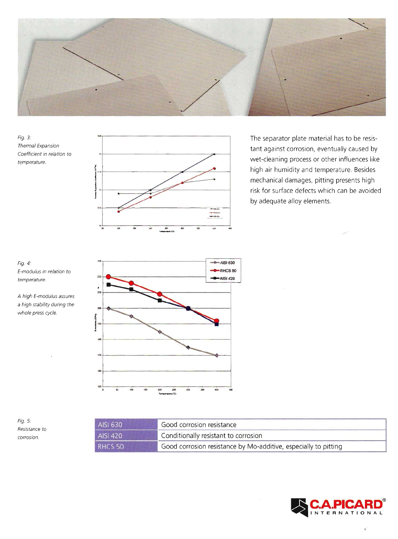

Fig. 3: Thermal Expansion Coefficient in relation to temperature.



The separator plate material has to be resistant against corrosion, eventually caused by wet-cleaning process or other influences like high air humidity and temperature. Besides mechanical damages, pitting presents high risk for surface defects which can be avoided by adequate alloy elements.



A high E-modulus assures a high stability during the whole press cycle.



Fig. 5: Resistance to corrosion.

| AISI 630                                                                              | Good corrosion resistance            |  |
|---------------------------------------------------------------------------------------|--------------------------------------|--|
| AISI 420                                                                              | Conditionally resistant to corrosion |  |
| Good corrosion resistance by Mo-additive, especially to pitting<br>RHCS <sub>50</sub> |                                      |  |

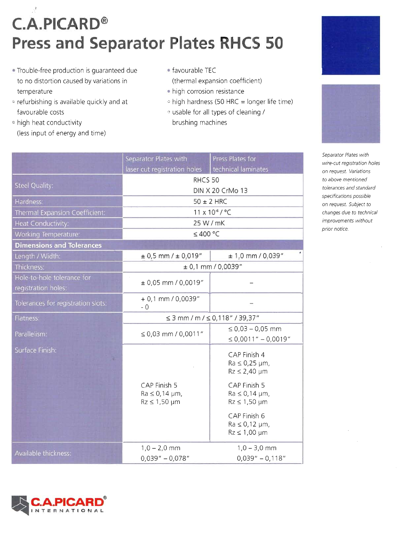# **C.A.PICARD® Press and Separator Plates RHCS 50**

- . Trouble-free production is quaranteed due to no distortion caused by variations in temperature
- <sup>®</sup> refurbishing is available quickly and at favourable costs
- <sup>o</sup> high heat conductivity (less input of energy and time)
- · favourable TEC (thermal expansion coefficient)
- · high corrosion resistance
- high hardness (50 HRC = longer life time)
- <sup>o</sup> usable for all types of cleaning / brushing machines





Separator Plates with wire-cut registration holes on request. Variations to above mentioned tolerances and standard specifications possible on request. Subject to changes due to technical improvements without prior notice.

|                                                   | Separator Plates with                                          | Press Plates for                                               |  |  |
|---------------------------------------------------|----------------------------------------------------------------|----------------------------------------------------------------|--|--|
|                                                   | laser cut registration holes                                   | technical laminates                                            |  |  |
| <b>Steel Quality:</b>                             | RHCS <sub>50</sub>                                             |                                                                |  |  |
|                                                   | DIN X 20 CrMo 13                                               |                                                                |  |  |
| Hardness:                                         | $50 \pm 2$ HRC                                                 |                                                                |  |  |
| Thermal Expansion Coefficient:                    | 11 x 10 <sup>-6</sup> / °C                                     |                                                                |  |  |
| <b>Heat Conductivity:</b>                         | 25 W / mK                                                      |                                                                |  |  |
| Working Temperature:                              |                                                                | ≤400 °C                                                        |  |  |
| <b>Dimensions and Tolerances</b>                  |                                                                |                                                                |  |  |
| Length / Width:                                   | $\pm$ 0,5 mm / $\pm$ 0,019"                                    | $± 1,0$ mm / 0,039"                                            |  |  |
| Thickness:                                        | ± 0,1 mm / 0,0039''                                            |                                                                |  |  |
| Hole-to-hole tolerance for<br>registration holes: | $± 0,05$ mm / 0,0019"                                          |                                                                |  |  |
| Tolerances for registration slots:                | $+0,1$ mm $/0,0039"$<br>$-0$                                   |                                                                |  |  |
| Flatness:                                         | ≤ 3 mm / m / ≤ 0,118" / 39,37"                                 |                                                                |  |  |
| Parallelism:                                      | ≤ 0,03 mm / 0,0011"                                            | ≤ 0,03 $-$ 0,05 mm<br>$\leq 0,0011'' - 0,0019''$               |  |  |
| Surface Finish:                                   |                                                                | CAP Finish 4<br>$Ra \leq 0.25 \mu m$ ,<br>$Rz \leq 2,40 \mu m$ |  |  |
|                                                   | CAP Finish 5<br>$Ra \leq 0.14 \mu m$ ,<br>$Rz \leq 1,50 \mu m$ | CAP Finish 5<br>$Ra \leq 0.14 \mu m$ ,<br>$Rz \leq 1,50 \mu m$ |  |  |
|                                                   |                                                                | CAP Finish 6<br>$Ra \leq 0.12 \mu m$ ,<br>$Rz \leq 1,00 \mu m$ |  |  |
| Available thickness:                              | $1,0 - 2,0$ mm<br>$0,039'' - 0,078''$                          | $1,0 - 3,0$ mm<br>$0,039" - 0,118"$                            |  |  |

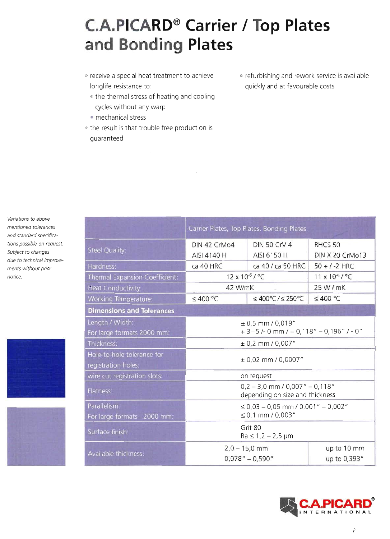## **C.A.PICARD<sup>®</sup> Carrier / Top Plates** and Bonding Plates

- <sup>o</sup> receive a special heat treatment to achieve longlife resistance to:
	- <sup>o</sup> the thermal stress of heating and cooling cycles without any warp
	- · mechanical stress
- <sup>®</sup> the result is that trouble free production is quaranteed
- · refurbishing and rework service is available quickly and at favourable costs

| Variations to above        |  |  |  |  |
|----------------------------|--|--|--|--|
| mentioned tolerances       |  |  |  |  |
| and standard specifica-    |  |  |  |  |
| tions possible on request. |  |  |  |  |
| Subject to changes         |  |  |  |  |
| due to technical improve-  |  |  |  |  |
| ments without prior        |  |  |  |  |
| notice.                    |  |  |  |  |





|                                       | Carrier Plates, Top Plates, Bonding Plates                                |                     |                          |
|---------------------------------------|---------------------------------------------------------------------------|---------------------|--------------------------|
|                                       | DIN 42 CrMo4                                                              | <b>DIN 50 CrV 4</b> | RHCS <sub>50</sub>       |
| Steel Quality:                        | AISI 4140 H                                                               | AISI 6150 H         | DIN X 20 CrMo13          |
| Hardness:                             | ca 40 HRC                                                                 | ca 40 / ca 50 HRC   | $50 + 7 - 2$ HRC         |
| <b>Thermal Expansion Coefficient:</b> | $12 \times 10^{-6} / °C$                                                  |                     | $11 \times 10^{-6} / °C$ |
| <b>Heat Conductivity:</b>             | 42 W/mK                                                                   |                     | 25 W / mK                |
| <b>Norking Temperature:</b>           | ≤400 °C                                                                   | ≤400°C/≤250°C       | ≤400 °C                  |
| <b>Dimensions and Tolerances</b>      |                                                                           |                     |                          |
| ength / Width:                        | $± 0,5$ mm / 0,019"                                                       |                     |                          |
| For large formats 2000 mm:            | $+3-5$ /- 0 mm / + 0,118" - 0,196" / - 0"                                 |                     |                          |
| Thickness:                            | ± 0,2 mm / 0,007"                                                         |                     |                          |
| Hole-to-hole tolerance for            | $± 0,02$ mm / 0,0007"                                                     |                     |                          |
| egistration holes:                    |                                                                           |                     |                          |
| wire cut registration slots:          | on request                                                                |                     |                          |
| Flatness:                             | $0,2 - 3,0$ mm / $0,007$ " $- 0,118$ "<br>depending on size and thickness |                     |                          |
| Parallelism:                          | $\leq$ 0,03 - 0,05 mm / 0,001" - 0,002"                                   |                     |                          |
| For large formats 2000 mm:            | ≤ 0,1 mm / 0,003"                                                         |                     |                          |
| Surface finish:                       | Grit 80<br>$Ra \le 1, 2 - 2, 5 \mu m$                                     |                     |                          |
|                                       | $2,0 - 15,0$ mm                                                           |                     | up to 10 mm              |
| Available thickness:                  |                                                                           | $0,078" - 0,590"$   | up to 0,393"             |

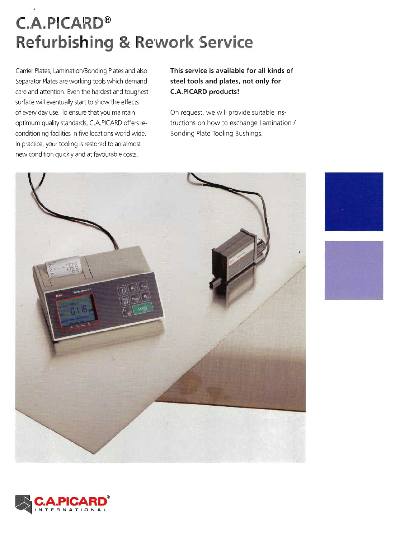## **C.A.PICARD® Refurbishing & Rework Service**

Carrier Plates, Lamination/Bonding Plates and also Separator Plates are working tools which demand care and attention. Even the hardest and toughest surface will eventually start to show the effects of every day use. To ensure that you maintain optimum quality standards, C.A.PICARD offers reconditioning facilities in five locations world wide. In practice, your tooling is restored to an almost new condition quickly and at favourable costs.  $\frac{1}{2}$ 

This service is available for all kinds of steel tools and plates, not only for **C.A.PICARD products!** 

On request, we will provide suitable instructions on how to exchange Lamination / Bonding Plate Tooling Bushings.







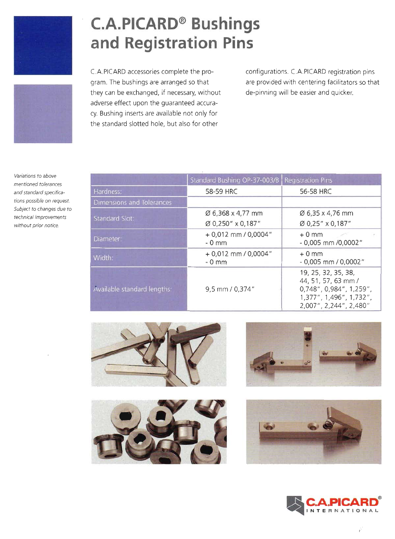



**C.A.PICARD<sup>®</sup> Bushings** and Registration Pins

C.A.PICARD accessories complete the program. The bushings are arranged so that they can be exchanged, if necessary, without adverse effect upon the guaranteed accuracy. Bushing inserts are available not only for the standard slotted hole, but also for other

configurations. C.A.PICARD registration pins are provided with centering facilitators so that de-pinning will be easier and quicker.

Variations to above mentioned tolerances and standard specifications possible on request. Subject to changes due to technical improvements without prior notice.

|                             | Standard Bushing OP-37-003/B   Registration Pins |                                                                                                                                     |  |
|-----------------------------|--------------------------------------------------|-------------------------------------------------------------------------------------------------------------------------------------|--|
| Hardness:                   | 58-59 HRC                                        | 56-58 HRC                                                                                                                           |  |
| Dimensions and Tolerances   |                                                  |                                                                                                                                     |  |
| Standard Slot:              | Ø 6,368 x 4,77 mm<br>Ø 0,250" x 0,187"           | Ø 6,35 x 4,76 mm<br>Ø 0,25" x 0,187"                                                                                                |  |
| Diameter:                   | $+0.012$ mm / 0.0004"<br>$-0$ mm                 | $+0$ mm<br>$-0,005$ mm $/0,0002$ "                                                                                                  |  |
| Width:                      | $+0.012$ mm / 0,0004"<br>$-0$ mm                 | $+0$ mm<br>$-0.005$ mm / 0,0002"                                                                                                    |  |
| Available standard lengths: | 9,5 mm / 0,374"                                  | 19, 25, 32, 35, 38,<br>44, 51, 57, 63 mm /<br>$0,748$ ", $0,984$ ", $1,259$ ",<br>1,377", 1,496", 1,732",<br>2,007", 2,244", 2,480" |  |